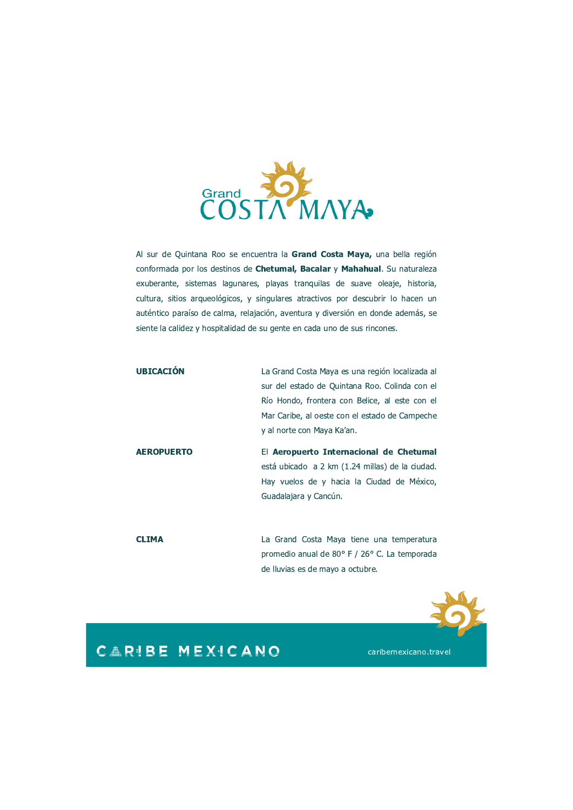

Al sur de Quintana Roo se encuentra la Grand Costa Maya, una bella región conformada por los destinos de Chetumal, Bacalar y Mahahual. Su naturaleza exuberante, sistemas lagunares, playas tranquilas de suave oleaje, historia, cultura, sitios arqueológicos, y singulares atractivos por descubrir lo hacen un auténtico paraíso de calma, relajación, aventura y diversión en donde además, se siente la calidez y hospitalidad de su gente en cada uno de sus rincones.

| <b>UBICACIÓN</b>  | La Grand Costa Maya es una región localizada al |  |  |  |
|-------------------|-------------------------------------------------|--|--|--|
|                   | sur del estado de Quintana Roo. Colinda con el  |  |  |  |
|                   | Río Hondo, frontera con Belice, al este con el  |  |  |  |
|                   | Mar Caribe, al oeste con el estado de Campeche  |  |  |  |
|                   | y al norte con Maya Ka'an.                      |  |  |  |
|                   |                                                 |  |  |  |
| <b>AEROPUERTO</b> | El Aeropuerto Internacional de Chetumal         |  |  |  |
|                   | está ubicado a 2 km (1.24 millas) de la ciudad. |  |  |  |
|                   | Hay vuelos de y hacia la Ciudad de México,      |  |  |  |
|                   | Guadalajara y Cancún.                           |  |  |  |

**CLIMA** La Grand Costa Maya tiene una temperatura promedio anual de 80° F / 26° C. La temporada de lluvias es de mayo a octubre.



## **CARIBE MEXICANO**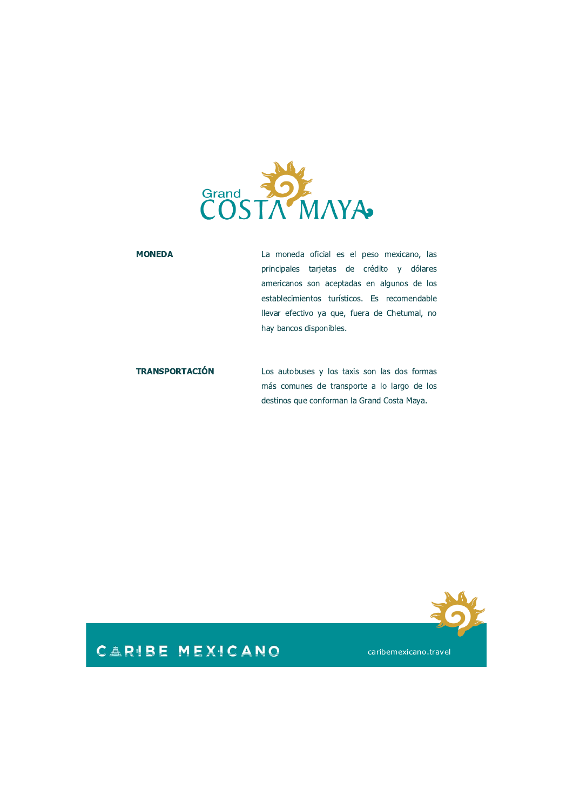

#### **MONEDA**

La moneda oficial es el peso mexicano, las principales tarjetas de crédito y dólares americanos son aceptadas en algunos de los establecimientos turísticos. Es recomendable llevar efectivo ya que, fuera de Chetumal, no hay bancos disponibles.

**TRANSPORTACIÓN** Los autobuses y los taxis son las dos formas más comunes de transporte a lo largo de los destinos que conforman la Grand Costa Maya.



## **CARIBE MEXICANO**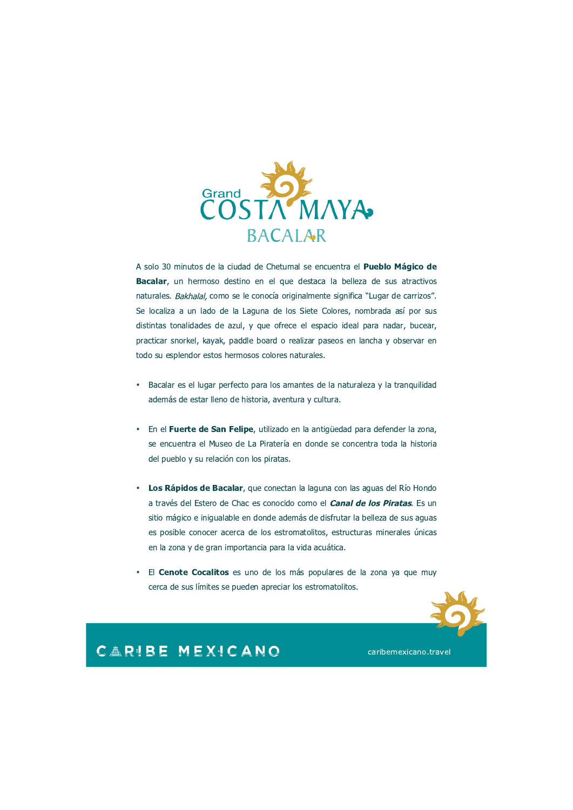

A solo 30 minutos de la ciudad de Chetumal se encuentra el Pueblo Mágico de Bacalar, un hermoso destino en el que destaca la belleza de sus atractivos naturales. Bakhalal, como se le conocía originalmente significa "Lugar de carrizos". Se localiza a un lado de la Laguna de los Siete Colores, nombrada así por sus distintas tonalidades de azul, y que ofrece el espacio ideal para nadar, bucear, practicar snorkel, kayak, paddle board o realizar paseos en lancha y observar en todo su esplendor estos hermosos colores naturales.

- Bacalar es el lugar perfecto para los amantes de la naturaleza y la tranquilidad además de estar lleno de historia, aventura y cultura.
- En el Fuerte de San Felipe, utilizado en la antigüedad para defender la zona, se encuentra el Museo de La Piratería en donde se concentra toda la historia del pueblo y su relación con los piratas.
- Los Rápidos de Bacalar, que conectan la laguna con las aguas del Río Hondo a través del Estero de Chac es conocido como el **Canal de los Piratas**. Es un sitio mágico e inigualable en donde además de disfrutar la belleza de sus aguas es posible conocer acerca de los estromatolitos, estructuras minerales únicas en la zona y de gran importancia para la vida acuática.
- El **Cenote Cocalitos** es uno de los más populares de la zona ya que muy cerca de sus límites se pueden apreciar los estromatolitos.



### **CARIBE MEXICANO**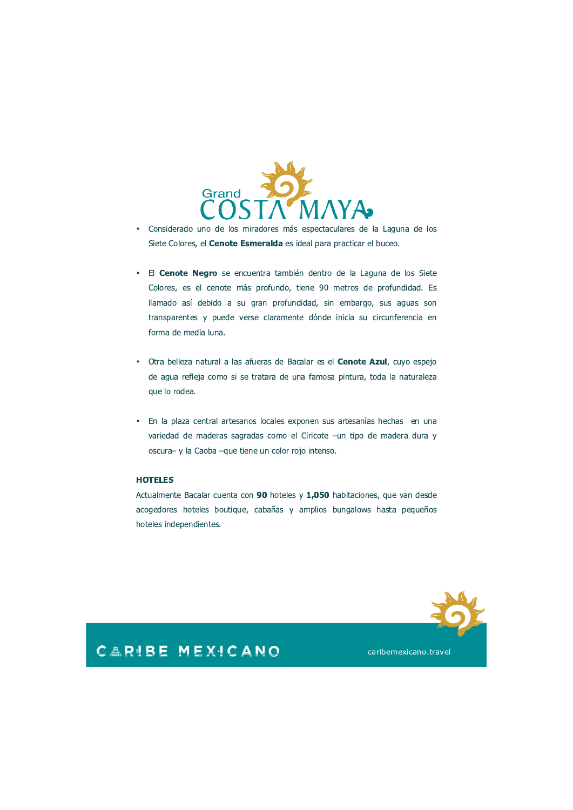

- Considerado uno de los miradores más espectaculares de la Laguna de los  $\bullet$ Siete Colores, el **Cenote Esmeralda** es ideal para practicar el buceo.
- · El Cenote Negro se encuentra también dentro de la Laguna de los Siete Colores, es el cenote más profundo, tiene 90 metros de profundidad. Es llamado así debido a su gran profundidad, sin embargo, sus aguas son transparentes y puede verse claramente dónde inicia su circunferencia en forma de media luna.
- · Otra belleza natural a las afueras de Bacalar es el **Cenote Azul**, cuyo espejo de aqua refleja como si se tratara de una famosa pintura, toda la naturaleza que lo rodea.
- En la plaza central artesanos locales exponen sus artesanías hechas en una  $\bullet$ variedad de maderas sagradas como el Ciricote -un tipo de madera dura y oscura- y la Caoba -que tiene un color rojo intenso.

#### **HOTELES**

Actualmente Bacalar cuenta con 90 hoteles y 1,050 habitaciones, que van desde acogedores hoteles boutique, cabañas y amplios bungalows hasta pequeños hoteles independientes.



### **CARIBE MEXICANO**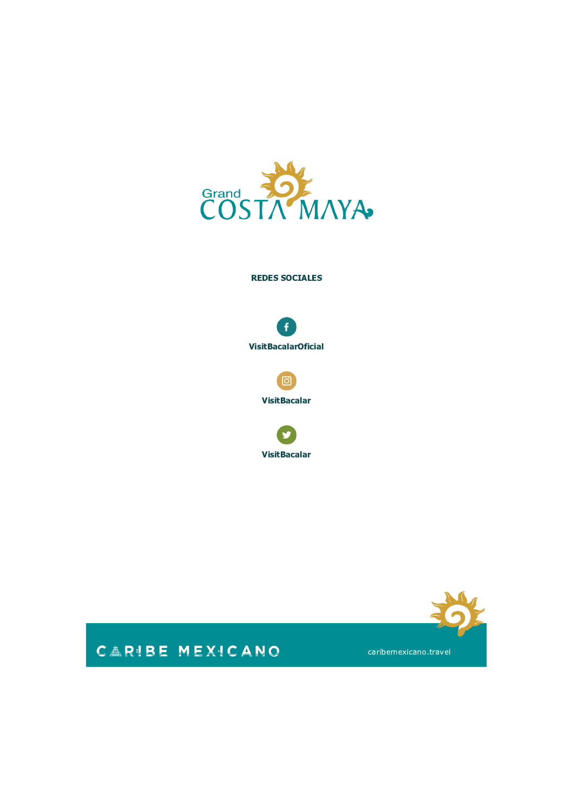

#### **REDES SOCIALES**





**VisitBacalar** 





# **CARIBE MEXICANO**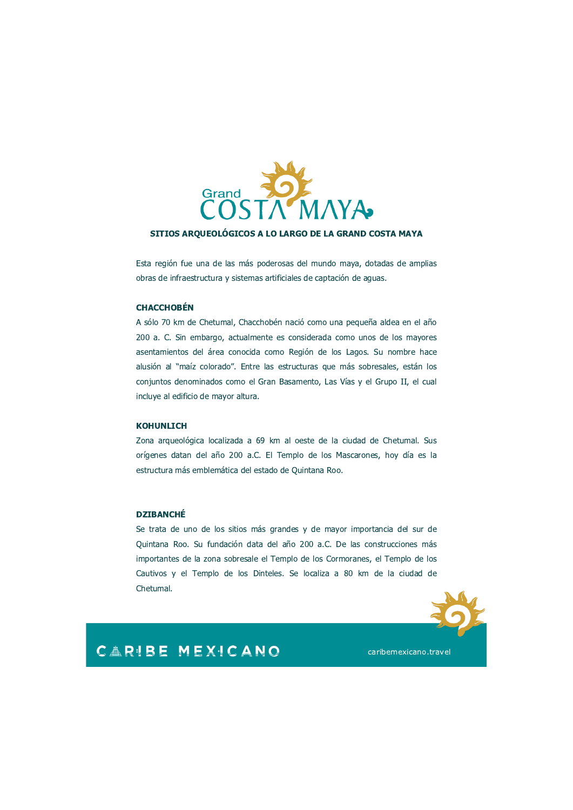

#### SITIOS ARQUEOLÓGICOS A LO LARGO DE LA GRAND COSTA MAYA

Esta región fue una de las más poderosas del mundo maya, dotadas de amplias obras de infraestructura y sistemas artificiales de captación de aguas.

#### **CHACCHOBÉN**

A sólo 70 km de Chetumal, Chacchobén nació como una pequeña aldea en el año 200 a. C. Sin embargo, actualmente es considerada como unos de los mayores asentamientos del área conocida como Región de los Lagos. Su nombre hace alusión al "maíz colorado". Entre las estructuras que más sobresales, están los conjuntos denominados como el Gran Basamento, Las Vías y el Grupo II, el cual incluye al edificio de mayor altura.

#### **KOHUNLICH**

Zona arqueológica localizada a 69 km al oeste de la ciudad de Chetumal. Sus orígenes datan del año 200 a.C. El Templo de los Mascarones, hoy día es la estructura más emblemática del estado de Quintana Roo.

#### **DZIBANCHÉ**

Se trata de uno de los sitios más grandes y de mayor importancia del sur de Quintana Roo. Su fundación data del año 200 a.C. De las construcciones más importantes de la zona sobresale el Templo de los Cormoranes, el Templo de los Cautivos y el Templo de los Dinteles. Se localiza a 80 km de la ciudad de Chetumal.



### **CARIBE MEXICANO**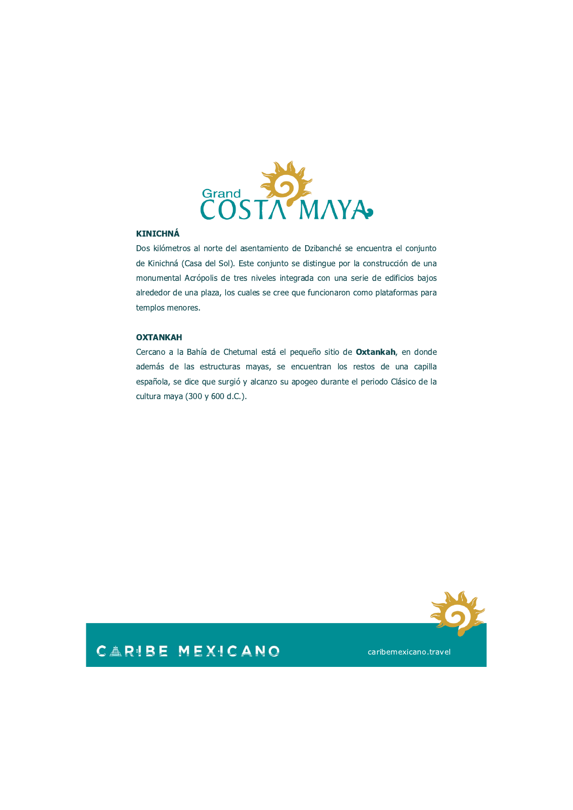

#### **KINICHNÁ**

Dos kilómetros al norte del asentamiento de Dzibanché se encuentra el conjunto de Kinichná (Casa del Sol). Este conjunto se distingue por la construcción de una monumental Acrópolis de tres niveles integrada con una serie de edificios bajos alrededor de una plaza, los cuales se cree que funcionaron como plataformas para templos menores.

#### **OXTANKAH**

Cercano a la Bahía de Chetumal está el pequeño sitio de Oxtankah, en donde además de las estructuras mayas, se encuentran los restos de una capilla española, se dice que surgió y alcanzo su apogeo durante el periodo Clásico de la cultura maya (300 y 600 d.C.).



### **CARIBE MEXICANO**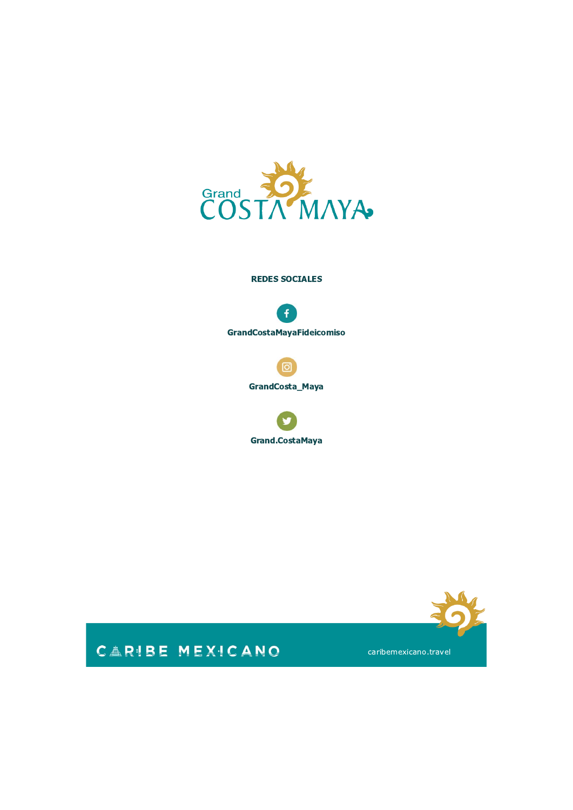

#### **REDES SOCIALES**



O

**GrandCosta\_Maya** 





# CARIBE MEXICANO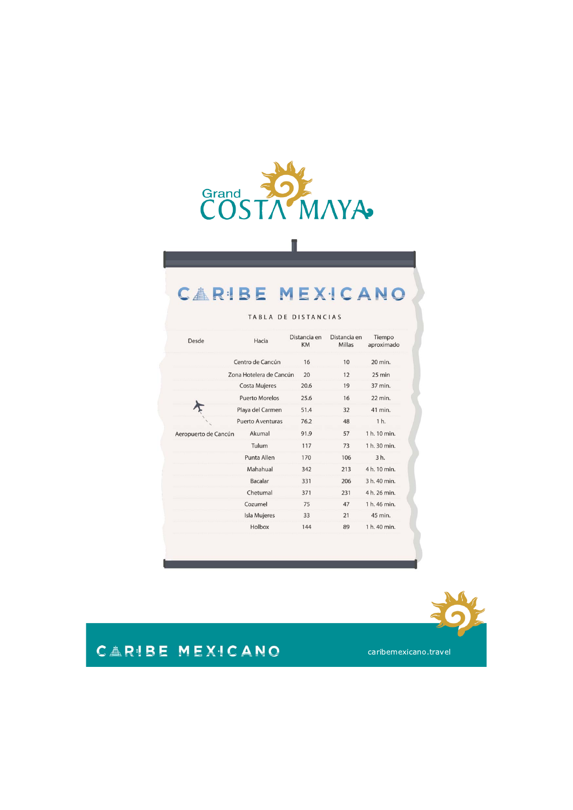

# **CARIBE MEXICANO**

|  | TABLA DE DISTANCIAS |  |
|--|---------------------|--|
|  |                     |  |

| Desde                | Hacia                   | Distancia en<br><b>KM</b> | Distancia en<br>Millas | Tiempo<br>aproximado |
|----------------------|-------------------------|---------------------------|------------------------|----------------------|
|                      | Centro de Cancún        | 16                        | 10                     | 20 min.              |
|                      | Zona Hotelera de Cancún | 20                        | 12                     | 25 min               |
|                      | Costa Mujeres           | 20.6                      | 19                     | 37 min.              |
|                      | <b>Puerto Morelos</b>   | 25.6                      | 16                     | 22 min.              |
|                      | Playa del Carmen        | 51.4                      | 32                     | 41 min.              |
|                      | <b>Puerto Aventuras</b> | 76.2                      | 48                     | 1 h.                 |
| Aeropuerto de Cancún | Akumal                  | 91.9                      | 57                     | 1 h. 10 min.         |
|                      | Tulum                   | 117                       | 73                     | 1 h. 30 min.         |
|                      | Punta Allen             | 170                       | 106                    | 3 h.                 |
|                      | Mahahual                | 342                       | 213                    | 4 h. 10 min.         |
|                      | <b>Bacalar</b>          | 331                       | 206                    | 3 h. 40 min.         |
|                      | Chetumal                | 371                       | 231                    | 4 h. 26 min.         |
|                      | Cozumel                 | 75                        | 47                     | 1 h. 46 min.         |
|                      | Isla Mujeres            | 33                        | 21                     | 45 min.              |
|                      | Holbox                  | 144                       | 89                     | 1 h. 40 min.         |



# CARIBE MEXICANO